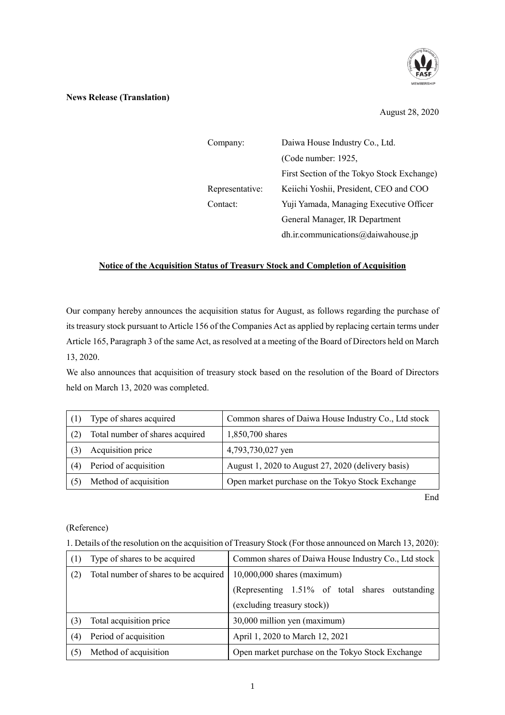

## **News Release (Translation)**

August 28, 2020

| Company:        | Daiwa House Industry Co., Ltd.             |  |
|-----------------|--------------------------------------------|--|
|                 | (Code number: 1925,                        |  |
|                 | First Section of the Tokyo Stock Exchange) |  |
| Representative: | Keiichi Yoshii, President, CEO and COO     |  |
| Contact:        | Yuji Yamada, Managing Executive Officer    |  |
|                 | General Manager, IR Department             |  |
|                 | dh.ir.communications@daiwahouse.jp         |  |

## **Notice of the Acquisition Status of Treasury Stock and Completion of Acquisition**

Our company hereby announces the acquisition status for August, as follows regarding the purchase of its treasury stock pursuant to Article 156 of the Companies Act as applied by replacing certain terms under Article 165, Paragraph 3 of the same Act, as resolved at a meeting of the Board of Directors held on March 13, 2020.

We also announces that acquisition of treasury stock based on the resolution of the Board of Directors held on March 13, 2020 was completed.

|     | Type of shares acquired         | Common shares of Daiwa House Industry Co., Ltd stock |
|-----|---------------------------------|------------------------------------------------------|
|     | Total number of shares acquired | 1,850,700 shares                                     |
|     | Acquisition price               | 4,793,730,027 yen                                    |
| (4) | Period of acquisition           | August 1, 2020 to August 27, 2020 (delivery basis)   |
|     | Method of acquisition           | Open market purchase on the Tokyo Stock Exchange     |

End

## (Reference)

1. Details of the resolution on the acquisition of Treasury Stock (For those announced on March 13, 2020):

|     | Type of shares to be acquired         | Common shares of Daiwa House Industry Co., Ltd stock |
|-----|---------------------------------------|------------------------------------------------------|
| (2) | Total number of shares to be acquired | $10,000,000$ shares (maximum)                        |
|     |                                       | (Representing 1.51% of total shares outstanding      |
|     |                                       | (excluding treasury stock))                          |
|     | Total acquisition price               | 30,000 million yen (maximum)                         |
| (4) | Period of acquisition                 | April 1, 2020 to March 12, 2021                      |
| (5) | Method of acquisition                 | Open market purchase on the Tokyo Stock Exchange     |